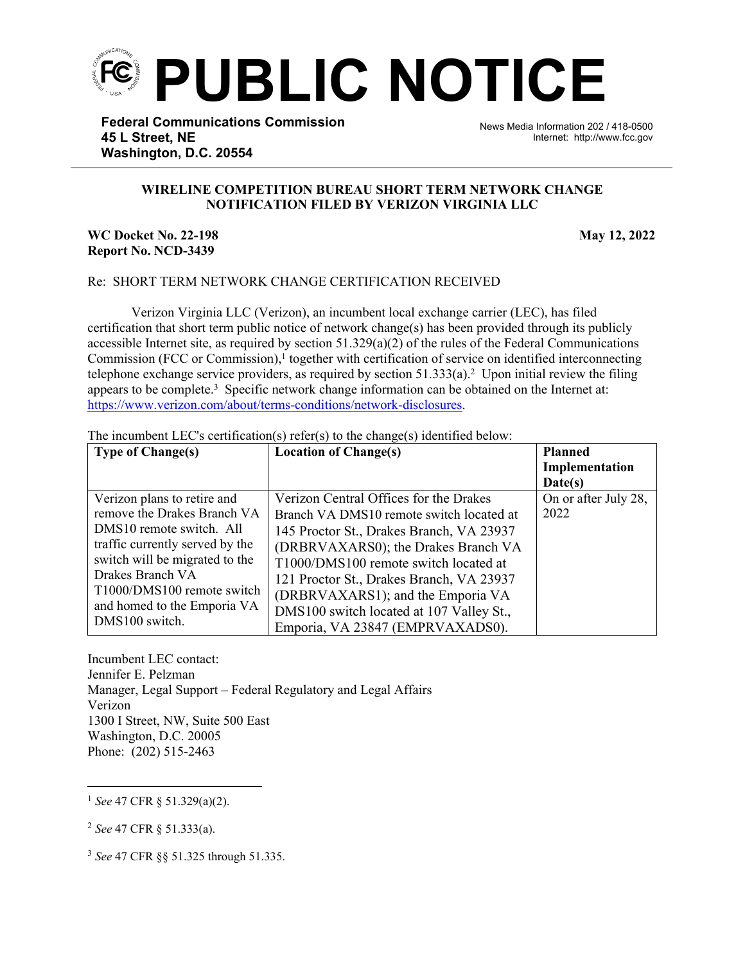

**Federal Communications Commission 45 L Street, NE Washington, D.C. 20554**

News Media Information 202 / 418-0500 Internet: http://www.fcc.gov

## **WIRELINE COMPETITION BUREAU SHORT TERM NETWORK CHANGE NOTIFICATION FILED BY VERIZON VIRGINIA LLC**

֡֡֡֡

## **WC Docket No. 22-198 May 12, 2022 Report No. NCD-3439**

## Re: SHORT TERM NETWORK CHANGE CERTIFICATION RECEIVED

Verizon Virginia LLC (Verizon), an incumbent local exchange carrier (LEC), has filed certification that short term public notice of network change(s) has been provided through its publicly accessible Internet site, as required by section  $51.329(a)(2)$  of the rules of the Federal Communications Commission (FCC or Commission),<sup>1</sup> together with certification of service on identified interconnecting telephone exchange service providers, as required by section  $51.333(a)$ .<sup>2</sup> Upon initial review the filing appears to be complete.<sup>3</sup> Specific network change information can be obtained on the Internet at: [https://www.verizon.com/about/terms-conditions/network-disclosures.](https://www.verizon.com/about/terms-conditions/network-disclosures)

The incumbent LEC's certification(s) refer(s) to the change(s) identified below:

| <b>Type of Change(s)</b>        | <b>Location of Change(s)</b>             | <b>Planned</b>       |
|---------------------------------|------------------------------------------|----------------------|
|                                 |                                          | Implementation       |
|                                 |                                          | Date(s)              |
| Verizon plans to retire and     | Verizon Central Offices for the Drakes   | On or after July 28, |
| remove the Drakes Branch VA     | Branch VA DMS10 remote switch located at | 2022                 |
| DMS10 remote switch. All        | 145 Proctor St., Drakes Branch, VA 23937 |                      |
| traffic currently served by the | (DRBRVAXARS0); the Drakes Branch VA      |                      |
| switch will be migrated to the  | T1000/DMS100 remote switch located at    |                      |
| Drakes Branch VA                | 121 Proctor St., Drakes Branch, VA 23937 |                      |
| T1000/DMS100 remote switch      | (DRBRVAXARS1); and the Emporia VA        |                      |
| and homed to the Emporia VA     | DMS100 switch located at 107 Valley St., |                      |
| DMS100 switch.                  | Emporia, VA 23847 (EMPRVAXADS0).         |                      |

Incumbent LEC contact: Jennifer E. Pelzman Manager, Legal Support – Federal Regulatory and Legal Affairs Verizon 1300 I Street, NW, Suite 500 East Washington, D.C. 20005 Phone: (202) 515-2463

<sup>1</sup> *See* 47 CFR § 51.329(a)(2).

<sup>2</sup> *See* 47 CFR § 51.333(a).

<sup>3</sup> *See* 47 CFR §§ 51.325 through 51.335.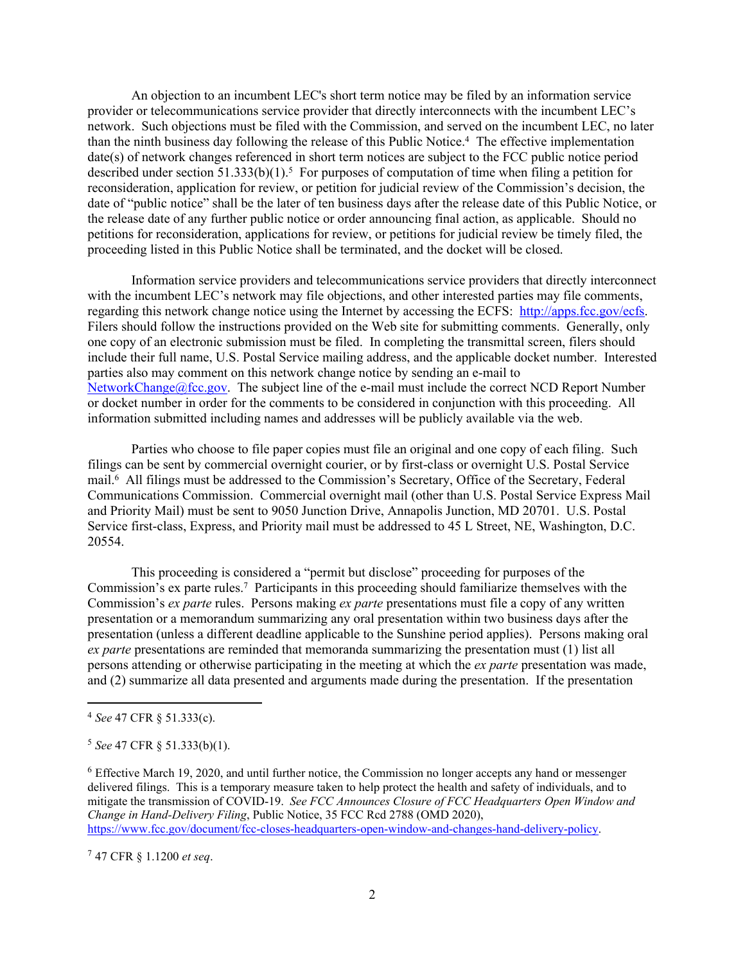An objection to an incumbent LEC's short term notice may be filed by an information service provider or telecommunications service provider that directly interconnects with the incumbent LEC's network. Such objections must be filed with the Commission, and served on the incumbent LEC, no later than the ninth business day following the release of this Public Notice.<sup>4</sup> The effective implementation date(s) of network changes referenced in short term notices are subject to the FCC public notice period described under section  $51.333(b)(1)$ .<sup>5</sup> For purposes of computation of time when filing a petition for reconsideration, application for review, or petition for judicial review of the Commission's decision, the date of "public notice" shall be the later of ten business days after the release date of this Public Notice, or the release date of any further public notice or order announcing final action, as applicable. Should no petitions for reconsideration, applications for review, or petitions for judicial review be timely filed, the proceeding listed in this Public Notice shall be terminated, and the docket will be closed.

Information service providers and telecommunications service providers that directly interconnect with the incumbent LEC's network may file objections, and other interested parties may file comments, regarding this network change notice using the Internet by accessing the ECFS: [http://apps.fcc.gov/ecfs.](http://apps.fcc.gov/ecfs) Filers should follow the instructions provided on the Web site for submitting comments. Generally, only one copy of an electronic submission must be filed. In completing the transmittal screen, filers should include their full name, U.S. Postal Service mailing address, and the applicable docket number. Interested parties also may comment on this network change notice by sending an e-mail to [NetworkChange@fcc.gov.](mailto:NetworkChange@fcc.gov) The subject line of the e-mail must include the correct NCD Report Number or docket number in order for the comments to be considered in conjunction with this proceeding. All information submitted including names and addresses will be publicly available via the web.

Parties who choose to file paper copies must file an original and one copy of each filing. Such filings can be sent by commercial overnight courier, or by first-class or overnight U.S. Postal Service mail.<sup>6</sup> All filings must be addressed to the Commission's Secretary, Office of the Secretary, Federal Communications Commission. Commercial overnight mail (other than U.S. Postal Service Express Mail and Priority Mail) must be sent to 9050 Junction Drive, Annapolis Junction, MD 20701. U.S. Postal Service first-class, Express, and Priority mail must be addressed to 45 L Street, NE, Washington, D.C. 20554.

This proceeding is considered a "permit but disclose" proceeding for purposes of the Commission's ex parte rules.<sup>7</sup> Participants in this proceeding should familiarize themselves with the Commission's *ex parte* rules. Persons making *ex parte* presentations must file a copy of any written presentation or a memorandum summarizing any oral presentation within two business days after the presentation (unless a different deadline applicable to the Sunshine period applies). Persons making oral *ex parte* presentations are reminded that memoranda summarizing the presentation must (1) list all persons attending or otherwise participating in the meeting at which the *ex parte* presentation was made, and (2) summarize all data presented and arguments made during the presentation. If the presentation

<sup>7</sup> 47 CFR § 1.1200 *et seq*.

<sup>4</sup> *See* 47 CFR § 51.333(c).

<sup>5</sup> *See* 47 CFR § 51.333(b)(1).

<sup>6</sup> Effective March 19, 2020, and until further notice, the Commission no longer accepts any hand or messenger delivered filings. This is a temporary measure taken to help protect the health and safety of individuals, and to mitigate the transmission of COVID-19. *See FCC Announces Closure of FCC Headquarters Open Window and Change in Hand-Delivery Filing*, Public Notice, 35 FCC Rcd 2788 (OMD 2020), [https://www.fcc.gov/document/fcc-closes-headquarters-open-window-and-changes-hand-delivery-policy.](https://www.fcc.gov/document/fcc-closes-headquarters-open-window-and-changes-hand-delivery-policy)